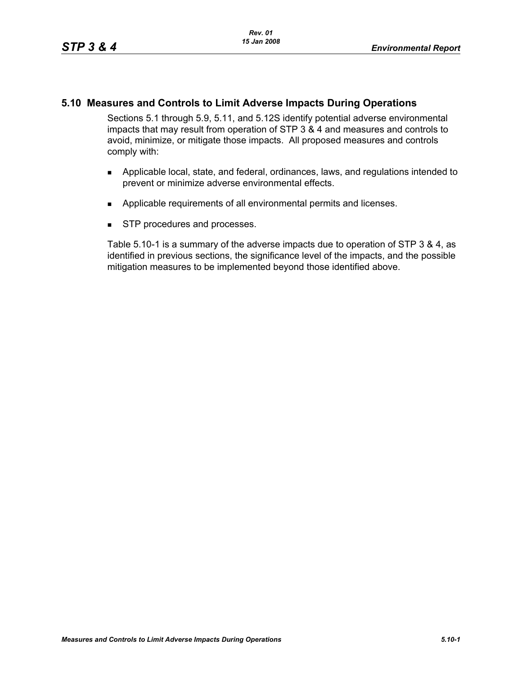# **5.10 Measures and Controls to Limit Adverse Impacts During Operations**

Sections 5.1 through 5.9, 5.11, and 5.12S identify potential adverse environmental impacts that may result from operation of STP 3 & 4 and measures and controls to avoid, minimize, or mitigate those impacts. All proposed measures and controls comply with:

- **Applicable local, state, and federal, ordinances, laws, and regulations intended to** prevent or minimize adverse environmental effects.
- **Applicable requirements of all environmental permits and licenses.**
- **STP** procedures and processes.

Table 5.10-1 is a summary of the adverse impacts due to operation of STP 3 & 4, as identified in previous sections, the significance level of the impacts, and the possible mitigation measures to be implemented beyond those identified above.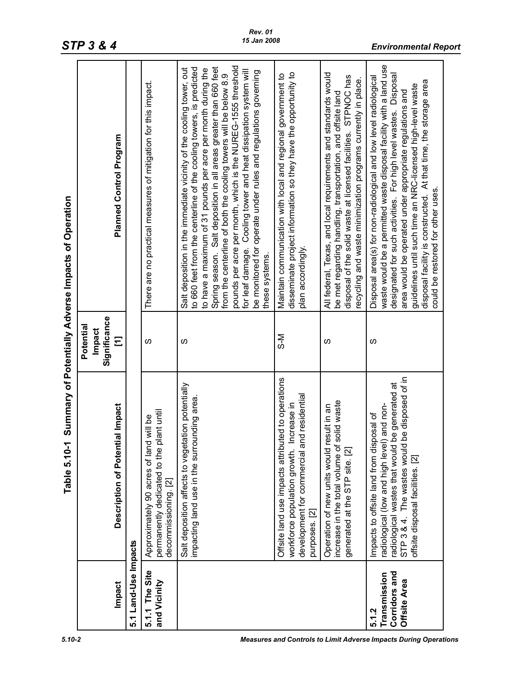| Impact                                                 |                                                                                                                                                                                                                                               |                               |                                                                                                                                                                                                                                                                                                                                                                                                                                                                                                                                                                            |
|--------------------------------------------------------|-----------------------------------------------------------------------------------------------------------------------------------------------------------------------------------------------------------------------------------------------|-------------------------------|----------------------------------------------------------------------------------------------------------------------------------------------------------------------------------------------------------------------------------------------------------------------------------------------------------------------------------------------------------------------------------------------------------------------------------------------------------------------------------------------------------------------------------------------------------------------------|
|                                                        |                                                                                                                                                                                                                                               | Potential                     |                                                                                                                                                                                                                                                                                                                                                                                                                                                                                                                                                                            |
|                                                        |                                                                                                                                                                                                                                               | Significance<br><b>Impact</b> |                                                                                                                                                                                                                                                                                                                                                                                                                                                                                                                                                                            |
|                                                        | <b>Description of Potential Impact</b>                                                                                                                                                                                                        | Ξ                             | Planned Control Program                                                                                                                                                                                                                                                                                                                                                                                                                                                                                                                                                    |
| 5.1 Land-Use Impacts                                   |                                                                                                                                                                                                                                               |                               |                                                                                                                                                                                                                                                                                                                                                                                                                                                                                                                                                                            |
| 5.1.1 The Site<br>and Vicinity                         | permanently dedicated to the plant until<br>decommissioning. [2]<br>will be<br>Approximately 90 acres of land                                                                                                                                 | S                             | There are no practical measures of mitigation for this impact.                                                                                                                                                                                                                                                                                                                                                                                                                                                                                                             |
|                                                        | Salt deposition affects to vegetation potentially<br>impacting land use in the surrounding area                                                                                                                                               | S                             | pounds per acre per month, which is the NUREG-1555 threshold<br>Salt deposition in the immediate vicinity of the cooling tower, out<br>Spring season. Salt deposition in all areas greater than 660 feet<br>to 660 feet from the centerline of the cooling towers, is predicted<br>to have a maximum of 31 pounds per acre per month during the<br>for leaf damage. Cooling tower and heat dissipation system will<br>be monitored for operate under rules and regulations governing<br>from the centerline of both the cooling towers will be below 8.9<br>these systems. |
|                                                        | Offsite land use impacts attributed to operations<br>development for commercial and residential<br>workforce population growth. Increase in<br>purposes. [2]                                                                                  | ञ−<br>२                       | disseminate project information so they have the opportunity to<br>Maintain communication with local and regional government to<br>plan accordingly                                                                                                                                                                                                                                                                                                                                                                                                                        |
|                                                        | increase in the total volume of solid waste<br>sult in an<br>Operation of new units would re<br>generated at the STP site. [2]                                                                                                                | w                             | All federal, Texas, and local requirements and standards would<br>disposal of the solid waste at licensed facilities. STPNOC has<br>ecycling and waste minimization programs currently in place.<br>be met regarding handling, transportation, and offsite land                                                                                                                                                                                                                                                                                                            |
| Corridors and<br>Transmission<br>Offsite Area<br>5.1.2 | e disposed of in<br>be generated at<br>and non-<br>osal of<br>Impacts to offsite land from disp<br>radiological (low and high level)<br>STP 3 & 4. The wastes would b<br>radiological wastes that would t<br>offsite disposal facilities. [2] | S                             | waste would be a permitted waste disposal facility with a land use<br>Disposal<br>Disposal area(s) for non-radiological and low level radiological<br>disposal facility is constructed. At that time, the storage area<br>guidelines until such time an NRC-licensed high-level waste<br>area would be operated under appropriate regulations and<br>designated for such activities. For high level wastes.<br>could be restored for other uses.                                                                                                                           |

*STP 3 & 4 Environmental Report*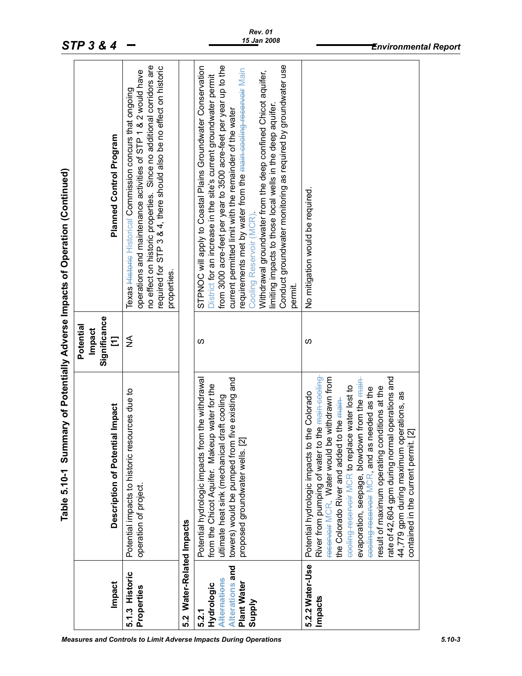|                                                                                        | Table 5.10-1 Summary of Potentially Adverse Impacts of Operation (Continued)                                                                                                                                                                                                                                                                                                                                                                                                                                                                                                                     |                                                 |                                                                                                                                                                                                                                                                                                                                                                                                                                                                                                                                                                                      |  |
|----------------------------------------------------------------------------------------|--------------------------------------------------------------------------------------------------------------------------------------------------------------------------------------------------------------------------------------------------------------------------------------------------------------------------------------------------------------------------------------------------------------------------------------------------------------------------------------------------------------------------------------------------------------------------------------------------|-------------------------------------------------|--------------------------------------------------------------------------------------------------------------------------------------------------------------------------------------------------------------------------------------------------------------------------------------------------------------------------------------------------------------------------------------------------------------------------------------------------------------------------------------------------------------------------------------------------------------------------------------|--|
| Impact                                                                                 | Description of Potential Impact                                                                                                                                                                                                                                                                                                                                                                                                                                                                                                                                                                  | Significance<br>Potential<br><b>Impact</b><br>Ξ | Planned Control Program                                                                                                                                                                                                                                                                                                                                                                                                                                                                                                                                                              |  |
| 5.1.3 Historic<br>Properties                                                           | Potential impacts to historic resources due to<br>operation of project.                                                                                                                                                                                                                                                                                                                                                                                                                                                                                                                          | ≨                                               | no effect on historic properties. Since no additional corridors are<br>required for STP 3 & 4, there should also be no effect on historic<br>operations and maintenance activities of STP 1 & 2 would have<br>Texas Historical Commission concurs that ongoing<br>properties.                                                                                                                                                                                                                                                                                                        |  |
| 5.2 Water-Related Impacts                                                              |                                                                                                                                                                                                                                                                                                                                                                                                                                                                                                                                                                                                  |                                                 |                                                                                                                                                                                                                                                                                                                                                                                                                                                                                                                                                                                      |  |
| Alterations and<br>Alternations<br><b>Plant Water</b><br>Hydrologic<br>Supply<br>5.2.1 | Potential hydrologic impacts from the withdrawal<br>towers) would be pumped from five existing and<br>from the Chicot Aquifer. Makeup water for the<br>draft cooling<br>proposed groundwater wells. [2<br>ultimate heat sink (mechanical                                                                                                                                                                                                                                                                                                                                                         | S                                               | Conduct groundwater monitoring as required by groundwater use<br>from 3000 acre-feet per year to 3500 acre-feet per year up to the<br>STPNOC will apply to Coastal Plains Groundwater Conservation<br>requirements met by water from the <del>main cooling reservoir</del> Main<br>Withdrawal groundwater from the deep confined Chicot aquifer,<br>District for an increase in the site's current groundwater permit<br>limiting impacts to those local wells in the deep aquifer.<br>current permitted limit with the remainder of the water<br>Cooling Reservoir (MCR)<br>permit. |  |
| 5.2.2 Water-Use<br>Impacts                                                             | rate of 42,604 gpm during normal operations and<br>reserveir MCR. Water would be withdrawn from<br>River from pumping of water to the <del>main cooling</del><br>evaporation, seepage, blowdown from the <del>main</del><br>be water lost to<br>result of maximum operating conditions at the<br>needed as the<br>Potential hydrologic impacts to the Colorado<br>44,779 gpm during maximum operations, as<br>to the main-<br>$\overline{\mathbb{Z}}$<br>eooling-reservoir MCR to replace<br>the Colorado River and added 1<br>contained in the current permit.<br>eeeling-reserveir MCR, and as | ഗ                                               | No mitigation would be required.                                                                                                                                                                                                                                                                                                                                                                                                                                                                                                                                                     |  |
|                                                                                        |                                                                                                                                                                                                                                                                                                                                                                                                                                                                                                                                                                                                  |                                                 |                                                                                                                                                                                                                                                                                                                                                                                                                                                                                                                                                                                      |  |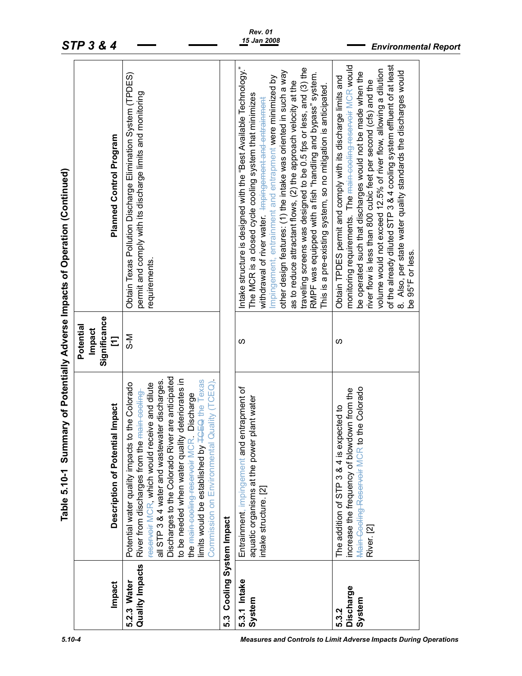|                                | Table 5.10-1 Summary of Potentially Adverse Impacts of Operation (Continued)                                                                                                                                                                                                                                                                                                                                                                                                  |                                                 |                                                                                                                                                                                                                                                                                                                                                                                                                                                                                                                                                                                                    |  |
|--------------------------------|-------------------------------------------------------------------------------------------------------------------------------------------------------------------------------------------------------------------------------------------------------------------------------------------------------------------------------------------------------------------------------------------------------------------------------------------------------------------------------|-------------------------------------------------|----------------------------------------------------------------------------------------------------------------------------------------------------------------------------------------------------------------------------------------------------------------------------------------------------------------------------------------------------------------------------------------------------------------------------------------------------------------------------------------------------------------------------------------------------------------------------------------------------|--|
| Impact                         | Description of Potential Impact                                                                                                                                                                                                                                                                                                                                                                                                                                               | Significance<br>Potential<br><b>Impact</b><br>Ξ | Planned Control Program                                                                                                                                                                                                                                                                                                                                                                                                                                                                                                                                                                            |  |
| Quality Impacts<br>5.2.3 Water | Discharges to the Colorado River are anticipated<br>to be needed when water quality deteriorates in<br>limits would be established by <b>TGEQ</b> the Texas<br>Quality (TCEQ)<br>all STP 3 & 4 water and wastewater discharges<br>to the Colorado<br>reserveir MCR, which would receive and dilute<br>River from discharges from the main-cooling<br>Discharge<br>the <del>main cooling reservoir</del> MCR<br>Potential water quality impacts<br>Commission on Environmental | N-S                                             | Obtain Texas Pollution Discharge Elimination System (TPDES)<br>permit and comply with its discharge limits and monitoring<br>requirements.                                                                                                                                                                                                                                                                                                                                                                                                                                                         |  |
| Cooling System Impact<br>က္ပ   |                                                                                                                                                                                                                                                                                                                                                                                                                                                                               |                                                 |                                                                                                                                                                                                                                                                                                                                                                                                                                                                                                                                                                                                    |  |
| 5.3.1 Intake<br>System         | entrapment of<br>plant water<br>aquatic organisms at the power<br>Entrainment, impingement and<br>intake structure. [2]                                                                                                                                                                                                                                                                                                                                                       | ഗ                                               | Intake structure is designed with the "Best Available Technology."<br>traveling screens was designed to be 0.5 fps or less, and (3) the<br>other design features: (1) the intake was oriented in such a way<br>RMPF was equipped with a fish "handling and bypass" system.<br>Impingement, entrainment and entrapment were minimized by<br>as to reduce attractant flows, (2) the approach velocity at the<br>This is a pre-existing system, so no mitigation is anticipated.<br>The MCR is a closed cycle cooling system that minimizes<br>withdrawal of river water. Impingement and entrainment |  |
| Discharge<br>System<br>5.3.2   | the Colorado<br>increase the frequency of blowdown from the<br>The addition of STP 3 & 4 is expected to<br>Main-Cooling-Reservoir MCR to<br>River. [2]                                                                                                                                                                                                                                                                                                                        | ഗ                                               | monitoring requirements. The main-cooling-reservoir MCR would<br>of the already diluted STP 3 & 4 cooling system effluent of at least<br>volume would not exceed 12.5% of river flow, allowing a dilution<br>8. Also, per state water quality standards the discharges would<br>be operated such that discharges would not be made when the<br>Obtain TPDES permit and comply with its discharge limits and<br>river flow is less than 800 cubic feet per second (cfs) and the<br>or less.<br>be 95°F                                                                                              |  |
|                                |                                                                                                                                                                                                                                                                                                                                                                                                                                                                               |                                                 |                                                                                                                                                                                                                                                                                                                                                                                                                                                                                                                                                                                                    |  |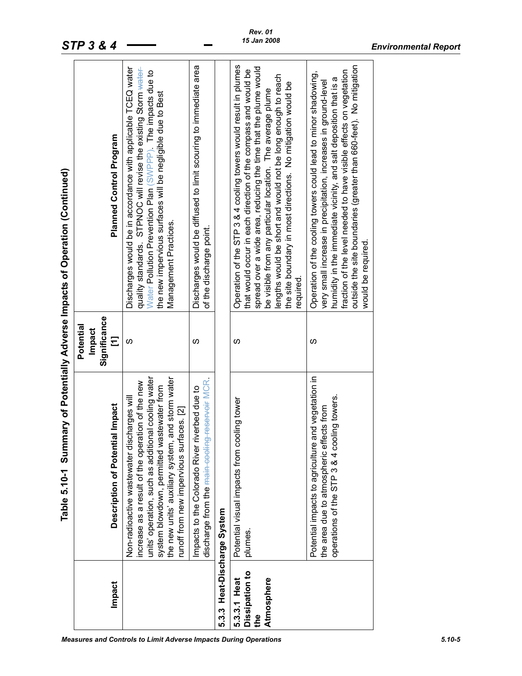|                                                     | Table 5.10-1 Summary of Potentially Adverse Impacts of Operation (Continued)                                                                                                                                                                                                                       |                                                 |                                                                                                                                                                                                                                                                                                                                                                                                                  |
|-----------------------------------------------------|----------------------------------------------------------------------------------------------------------------------------------------------------------------------------------------------------------------------------------------------------------------------------------------------------|-------------------------------------------------|------------------------------------------------------------------------------------------------------------------------------------------------------------------------------------------------------------------------------------------------------------------------------------------------------------------------------------------------------------------------------------------------------------------|
| <b>Impact</b>                                       | Description of Potential Impact                                                                                                                                                                                                                                                                    | Significance<br>Potential<br><b>Impact</b><br>Ξ | Planned Control Program                                                                                                                                                                                                                                                                                                                                                                                          |
|                                                     | units' operation, such as additional cooling water<br>the new units' auxiliary system, and storm water<br>increase as a result of the operation of the new<br>system blowdown, permitted wastewater from<br>Non-radioactive wastewater discharges will<br>runoff from new impervious surfaces. [2] | S                                               | Discharges would be in accordance with applicable TCEQ water<br>quality standards. STPNOC will revise the existing Storm water-<br>Water Pollution Prevention Plan (SWPPP). The impacts due to<br>the new impervious surfaces will be negligible due to Best<br>Management Practices.                                                                                                                            |
|                                                     | discharge from the <del>main cooling reservoir</del> MCR<br>Impacts to the Colorado River riverbed due to                                                                                                                                                                                          | ഗ                                               | Discharges would be diffused to limit scouring to immediate area<br>of the discharge point.                                                                                                                                                                                                                                                                                                                      |
| 5.3.3 Heat-Discharge System                         |                                                                                                                                                                                                                                                                                                    |                                                 |                                                                                                                                                                                                                                                                                                                                                                                                                  |
| Dissipation to<br>5.3.3.1 Heat<br>Atmosphere<br>the | Potential visual impacts from cooling tower<br>plumes.                                                                                                                                                                                                                                             | S                                               | Operation of the STP 3 & 4 cooling towers would result in plumes<br>spread over a wide area, reducing the time that the plume would<br>that would occur in each direction of the compass and would be<br>lengths would be short and would not be long enough to reach<br>the site boundary in most directions. No mitigation would be<br>be visible from any particular location. The average plume<br>required. |
|                                                     | Potential impacts to agriculture and vegetation in<br>operations of the STP 3 & 4 cooling towers.<br>the area due to atmospheric effects from                                                                                                                                                      | ഗ                                               | outside the site boundaries (greater than 660-feet). No mitigation<br>fraction of the level needed to have visible effects on vegetation<br>Operation of the cooling towers could lead to minor shadowing,<br>humidity in the immediate vicinity, and salt deposition that is a<br>very small increase in precipitation, increases in ground-level<br>would be required.                                         |
|                                                     |                                                                                                                                                                                                                                                                                                    |                                                 |                                                                                                                                                                                                                                                                                                                                                                                                                  |

*Rev. 01 15 Jan 2008*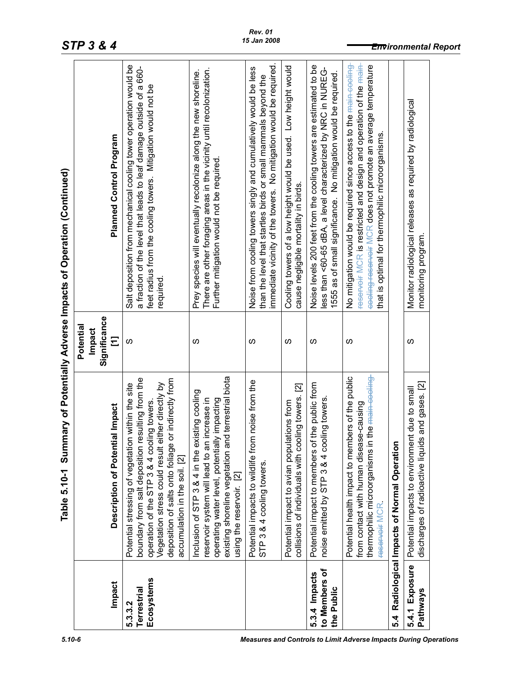|                                              | Table 5.10-1 Summary of Potentially Adverse Impacts of Operation (Continued)                                                                                                                                                                                                                       |                                          |                                                                                                                                                                                                                                                                       |
|----------------------------------------------|----------------------------------------------------------------------------------------------------------------------------------------------------------------------------------------------------------------------------------------------------------------------------------------------------|------------------------------------------|-----------------------------------------------------------------------------------------------------------------------------------------------------------------------------------------------------------------------------------------------------------------------|
| Impact                                       | Description of Potential Impact                                                                                                                                                                                                                                                                    | Significance<br>Potential<br>Impact<br>Ξ | Planned Control Program                                                                                                                                                                                                                                               |
| Ecosystems<br><b>Terrestrial</b><br>5.3.3.2  | boundary from salt deposition resulting from the<br>or indirectly from<br>Vegetation stress could result either directly by<br>Potential stressing of vegetation within the site<br>operation of the STP 3 & 4 cooling towers<br>deposition of salts onto foliage<br>accumulation in the soil. [2] | S                                        | Salt deposition from mechanical cooling tower operation would be<br>a fraction of the level that leads to leaf damage outside of a 660-<br>feet radius from the cooling towers. Mitigation would not be<br>required                                                   |
|                                              | existing shoreline vegetation and terrestrial biota<br>Inclusion of STP 3 & 4 in the existing cooling<br>increase in<br>operating water level, potentially impacting<br>reservoir system will lead to an<br>using the reservoir. [2]                                                               | S                                        | There are other foraging areas in the vicinity until recolonization.<br>Prey species will eventually recolonize along the new shoreline.<br>Further mitigation would not be required                                                                                  |
|                                              | Potential impacts to wildlife from noise from the<br>STP 3 & 4 cooling towers.                                                                                                                                                                                                                     | ഗ                                        | immediate vicinity of the towers. No mitigation would be required.<br>Noise from cooling towers singly and cumulatively would be less<br>than the level that startles birds or small mammals beyond the                                                               |
|                                              | collisions of individuals with cooling towers. [2]<br>Potential impact to avian populations from                                                                                                                                                                                                   | S                                        | Cooling towers of a low height would be used. Low height would<br>cause negligible mortality in birds.                                                                                                                                                                |
| to Members of<br>5.3.4 Impacts<br>the Public | the public from<br>noise emitted by STP 3 & 4 cooling towers.<br>Potential impact to members of                                                                                                                                                                                                    | S                                        | Noise levels 200 feet from the cooling towers are estimated to be<br>less than <60-65 dBA, a level characterized by NRC in NUREG-<br>1555 as of small significance. No mitigation would be required.                                                                  |
|                                              | Potential health impact to members of the public<br>the main-cooling<br>from contact with human disease-causing<br>thermophilic microorganisms in<br>reserveir MCR                                                                                                                                 | S                                        | reservoir MCR is restricted and design and operation of the main-<br>No mitigation would be required since access to the <del>main cooling</del><br>eooling-reservoir MCR does not promote an average temperature<br>that is optimal for thermophilic microorganisms. |
| 54                                           | Radiological Impacts of Normal Operation                                                                                                                                                                                                                                                           |                                          |                                                                                                                                                                                                                                                                       |
| 5.4.1 Exposure<br><b>Pathways</b>            | discharges of radioactive liquids and gases. [2]<br>Potential impacts to environment due to small                                                                                                                                                                                                  | S                                        | Monitor radiological releases as required by radiological<br>monitoring program                                                                                                                                                                                       |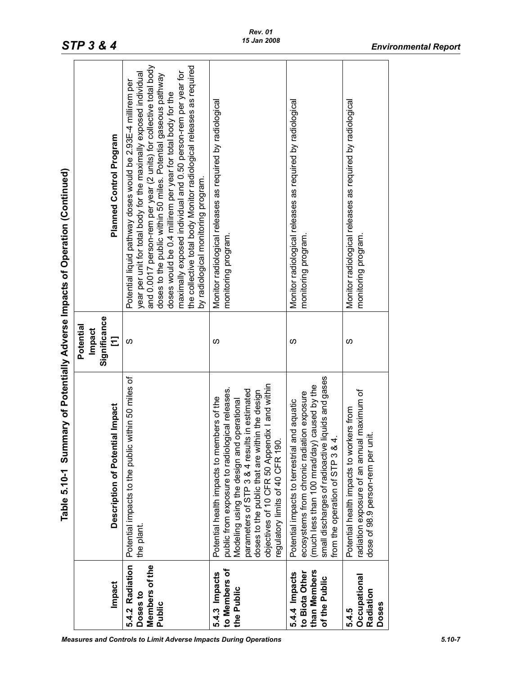| Planned Control Program<br>by radiological monitoring program.<br>monitoring program.<br>monitoring program.<br>monitoring program<br>Significance<br><b>Impact</b><br>Ξ<br>S<br>S<br>ഗ<br>ഗ<br>small discharges of radioactive liquids and gases<br>Potential impacts to the public within 50 miles of<br>objectives of 10 CFR 50 Appendix I and within<br>(much less than 100 mrad/day) caused by the<br>public from exposure to radiological releases.<br>parameters of STP 3 & 4 results in estimated<br>al maximum of<br>doses to the public that are within the design<br>ecosystems from chronic radiation exposure<br>Potential health impacts to members of the<br>Modeling using the design and operational<br>and aquatic<br>Description of Potential Impact<br>Potential health impacts to workers from<br>ii.<br>S<br>4.<br>regulatory limits of 40 CFR 190.<br>Potential impacts to terrestrial<br>from the operation of STP 3 &<br>radiation exposure of an annu<br>dose of 98.9 person-rem per<br>the plant.<br>5.4.2 Radiation<br>Members of the<br>to Members of<br>than Members<br>to Biota Other<br>5.4.3 Impacts<br>5.4.4 Impacts<br>Occupational<br>of the Public<br><b>Impact</b><br>the Public<br>Radiation<br>Doses to<br>Doses<br>Public<br>5.4.5 | Table 5.10-1 Summary of Potentially Adverse Impacts of Operation (Continued) |           |                                                                                                                                                                                                                                                                                                                                                                                                                                                                                  |
|-----------------------------------------------------------------------------------------------------------------------------------------------------------------------------------------------------------------------------------------------------------------------------------------------------------------------------------------------------------------------------------------------------------------------------------------------------------------------------------------------------------------------------------------------------------------------------------------------------------------------------------------------------------------------------------------------------------------------------------------------------------------------------------------------------------------------------------------------------------------------------------------------------------------------------------------------------------------------------------------------------------------------------------------------------------------------------------------------------------------------------------------------------------------------------------------------------------------------------------------------------------------------------|------------------------------------------------------------------------------|-----------|----------------------------------------------------------------------------------------------------------------------------------------------------------------------------------------------------------------------------------------------------------------------------------------------------------------------------------------------------------------------------------------------------------------------------------------------------------------------------------|
|                                                                                                                                                                                                                                                                                                                                                                                                                                                                                                                                                                                                                                                                                                                                                                                                                                                                                                                                                                                                                                                                                                                                                                                                                                                                             |                                                                              | Potential |                                                                                                                                                                                                                                                                                                                                                                                                                                                                                  |
|                                                                                                                                                                                                                                                                                                                                                                                                                                                                                                                                                                                                                                                                                                                                                                                                                                                                                                                                                                                                                                                                                                                                                                                                                                                                             |                                                                              |           | and 0.0017 person-rem per year (2 units) for collective total body<br>the collective total body Monitor radiological releases as required<br>maximally exposed individual and 0.50 person-rem per year for<br>year per unit for total body for the maximally exposed individual<br>doses to the public within 50 miles. Potential gaseous pathway<br>Potential liquid pathway doses would be 2.93E-4 millirem per<br>doses would be 0.4 millirem per year for total body for the |
|                                                                                                                                                                                                                                                                                                                                                                                                                                                                                                                                                                                                                                                                                                                                                                                                                                                                                                                                                                                                                                                                                                                                                                                                                                                                             |                                                                              |           | Monitor radiological releases as required by radiological                                                                                                                                                                                                                                                                                                                                                                                                                        |
|                                                                                                                                                                                                                                                                                                                                                                                                                                                                                                                                                                                                                                                                                                                                                                                                                                                                                                                                                                                                                                                                                                                                                                                                                                                                             |                                                                              |           | Monitor radiological releases as required by radiological                                                                                                                                                                                                                                                                                                                                                                                                                        |
|                                                                                                                                                                                                                                                                                                                                                                                                                                                                                                                                                                                                                                                                                                                                                                                                                                                                                                                                                                                                                                                                                                                                                                                                                                                                             |                                                                              |           | Monitor radiological releases as required by radiological                                                                                                                                                                                                                                                                                                                                                                                                                        |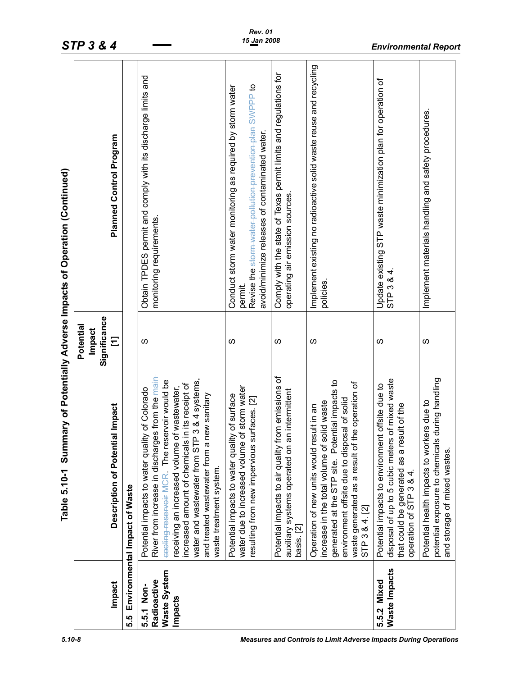|                                                             | Table 5.10-1                                                                                                                                                                                                                                                                                                                                                                                    |                           | Summary of Potentially Adverse Impacts of Operation (Continued)                                                                                                                     |
|-------------------------------------------------------------|-------------------------------------------------------------------------------------------------------------------------------------------------------------------------------------------------------------------------------------------------------------------------------------------------------------------------------------------------------------------------------------------------|---------------------------|-------------------------------------------------------------------------------------------------------------------------------------------------------------------------------------|
|                                                             |                                                                                                                                                                                                                                                                                                                                                                                                 | Potentia<br><b>Impact</b> |                                                                                                                                                                                     |
| Impact                                                      | <b>Description of Potential Impact</b>                                                                                                                                                                                                                                                                                                                                                          | Significance<br>Ξ         | Planned Control Program                                                                                                                                                             |
| 5.5                                                         | Environmental Impact of Waste                                                                                                                                                                                                                                                                                                                                                                   |                           |                                                                                                                                                                                     |
| <b>Waste System</b><br>Radioactive<br>5.5.1 Non-<br>Impacts | River from increase in discharges from the <del>main</del><br>3 & 4 systems,<br>eooling-reservoir MCR. The reservoir would be<br>in its receipt of<br>receiving an increased volume of wastewater,<br>Potential impacts to water quality of Colorado<br>and treated wastewater from a new sanitary<br>water and wastewater from STP<br>increased amount of chemicals<br>waste treatment system. | ၯ                         | Obtain TPDES permit and comply with its discharge limits and<br>monitoring requirements                                                                                             |
|                                                             | water due to increased volume of storm water<br>Potential impacts to water quality of surface<br>resulting from new impervious surfaces. [2]                                                                                                                                                                                                                                                    | S                         | Revise the sterm-water-pollution-prevention-plan SWPPP to<br>Conduct storm water monitoring as required by storm water<br>avoid/minimize releases of contaminated water.<br>permit. |
|                                                             | Potential impacts to air quality from emissions of<br>auxiliary systems operated on an intermittent<br>basis. [2]                                                                                                                                                                                                                                                                               | ၯ                         | Comply with the state of Texas permit limits and regulations for<br>operating air emission sources                                                                                  |
|                                                             | generated at the STP site. Potential impacts to<br>waste generated as a result of the operation of<br>environment offsite due to disposal of solid<br>increase in the total volume of solid waste<br>Operation of new units would result in an<br>STP 3 & 4. [2]                                                                                                                                | S                         | Implement existing no radioactive solid waste reuse and recycling<br>policies.                                                                                                      |
| Waste Impacts<br>5.5.2 Mixed                                | disposal of up to 5 cubic meters of mixed waste<br>Potential impacts to environment offsite due to<br>that could be generated as a result of the<br>operation of STP 3 & 4.                                                                                                                                                                                                                     | S                         | Update existing STP waste minimization plan for operation of<br>4<br>STP <sub>3&amp;</sub>                                                                                          |
|                                                             | during handling<br>Potential health impacts to workers due to<br>potential exposure to chemicals<br>and storage of mixed wastes.                                                                                                                                                                                                                                                                | S                         | Implement materials handling and safety procedures                                                                                                                                  |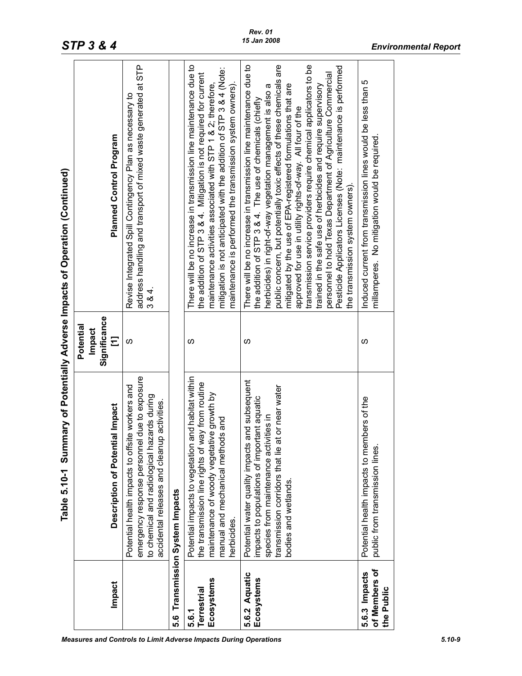|                                              | Table 5.10-1 Summary of Potentially Adverse Impacts of Operation (Continued)                                                                                                                                            |                                                 |                                                                                                                                                                                                                                                                                                                                                                                                                                                                                                                                                                                                                                                                                                                |
|----------------------------------------------|-------------------------------------------------------------------------------------------------------------------------------------------------------------------------------------------------------------------------|-------------------------------------------------|----------------------------------------------------------------------------------------------------------------------------------------------------------------------------------------------------------------------------------------------------------------------------------------------------------------------------------------------------------------------------------------------------------------------------------------------------------------------------------------------------------------------------------------------------------------------------------------------------------------------------------------------------------------------------------------------------------------|
| Impact                                       | Description of Potential Impact                                                                                                                                                                                         | Significance<br>Potential<br><b>Impact</b><br>Ξ | Planned Control Program                                                                                                                                                                                                                                                                                                                                                                                                                                                                                                                                                                                                                                                                                        |
|                                              | due to exposure<br>e workers and<br>to chemical and radiological hazards during<br>accidental releases and cleanup activities.<br>Potential health impacts to offsit<br>emergency response personnel                    | S                                               | address handling and transport of mixed waste generated at STP<br>Revise Integrated Spill Contingency Plan as necessary to<br>384.                                                                                                                                                                                                                                                                                                                                                                                                                                                                                                                                                                             |
|                                              | 5.6 Transmission System Impacts                                                                                                                                                                                         |                                                 |                                                                                                                                                                                                                                                                                                                                                                                                                                                                                                                                                                                                                                                                                                                |
| Ecosystems<br><b>Terrestrial</b><br>5.6.1    | Potential impacts to vegetation and habitat within<br>the transmission line rights of way from routine<br>maintenance of woody vegetative growth by<br>Is and<br>manual and mechanical method<br>herbicides.            | ഗ                                               | There will be no increase in transmission line maintenance due to<br>mitigation is not anticipated with the addition of STP 3 & 4 (Note:<br>the addition of STP 3 & 4. Mitigation is not required for current<br>maintenance is performed the transmission system owners).<br>maintenance activities associated with STP 1 & 2; therefore,                                                                                                                                                                                                                                                                                                                                                                     |
| 5.6.2 Aquatic<br>Ecosystems                  | Potential water quality impacts and subsequent<br>t or near water<br>impacts to populations of important aquatic<br>species from maintenance activities in<br>transmission corridors that lie at<br>bodies and wetlands | S                                               | There will be no increase in transmission line maintenance due to<br>public concern, but potentially toxic effects of these chemicals are<br>transmission service providers require chemical applicators to be<br>Pesticide Applicators Licenses (Note: maintenance is performed<br>personnel to hold Texas Department of Agriculture Commercial<br>trained in the safe use of herbicides and require supervisory<br>herbicides) in right-of-way vegetation management is also a<br>mitigated by the use of EPA-registered formulations that are<br>the addition of STP 3 & 4. The use of chemicals (chiefly<br>approved for use in utility rights-of-way. All four of the<br>the transmission system owners). |
| of Members of<br>5.6.3 Impacts<br>the Public | Potential health impacts to members of the<br>public from transmission lines.                                                                                                                                           | ഗ                                               | Induced current from transmission lines would be less than 5<br>millamperes. No mitigation would be required                                                                                                                                                                                                                                                                                                                                                                                                                                                                                                                                                                                                   |
|                                              |                                                                                                                                                                                                                         |                                                 |                                                                                                                                                                                                                                                                                                                                                                                                                                                                                                                                                                                                                                                                                                                |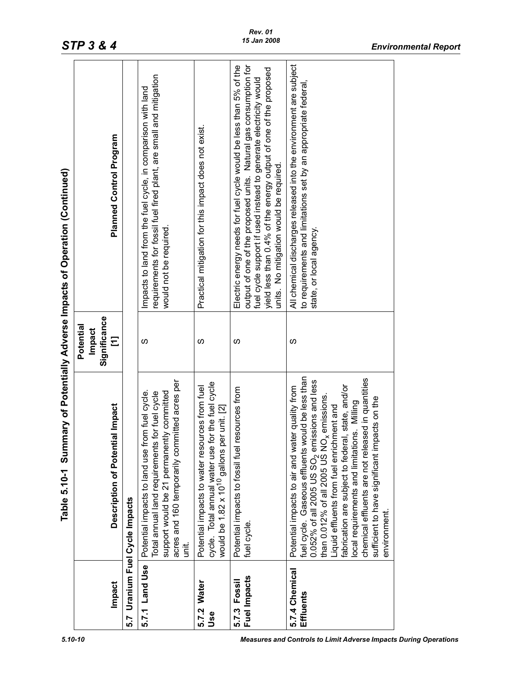|                              | Table 5.10-1                                                                                                                                                                                                                                                                                                                                                                                                                                                                                   |                                                 | Summary of Potentially Adverse Impacts of Operation (Continued)                                                                                                                                                                                                                                                          |
|------------------------------|------------------------------------------------------------------------------------------------------------------------------------------------------------------------------------------------------------------------------------------------------------------------------------------------------------------------------------------------------------------------------------------------------------------------------------------------------------------------------------------------|-------------------------------------------------|--------------------------------------------------------------------------------------------------------------------------------------------------------------------------------------------------------------------------------------------------------------------------------------------------------------------------|
| <b>Impact</b>                | Description of Potential Impact                                                                                                                                                                                                                                                                                                                                                                                                                                                                | Significance<br>Potential<br><b>Impact</b><br>Ξ | Planned Control Program                                                                                                                                                                                                                                                                                                  |
| 5.7                          | Uranium Fuel Cycle Impacts                                                                                                                                                                                                                                                                                                                                                                                                                                                                     |                                                 |                                                                                                                                                                                                                                                                                                                          |
| 5.7.1 Land Use               | acres and 160 temporarily committed acres per<br>Potential impacts to land use from fuel cycle.<br>support would be 21 permanently committed<br>for fuel cycle<br>Total annual land requirements f<br>iti.                                                                                                                                                                                                                                                                                     | ഗ                                               | requirements for fossil fuel fired plant, are small and mitigation<br>Impacts to land from the fuel cycle, in comparison with land<br>would not be required.                                                                                                                                                             |
| 5.7.2 Water<br>Use           | cycle. Total annual water use for the fuel cycle<br>Potential impacts to water resources from fuel<br>would be $1.82 \times 10^{10}$ gallons per unit. [2]                                                                                                                                                                                                                                                                                                                                     | ഗ                                               | Practical mitigation for this impact does not exist.                                                                                                                                                                                                                                                                     |
| Fuel Impacts<br>5.7.3 Fossil | Potential impacts to fossil fuel resources from<br>fuel cycle.                                                                                                                                                                                                                                                                                                                                                                                                                                 | ഗ                                               | output of one of the proposed units. Natural gas consumption for<br>Electric energy needs for fuel cycle would be less than 5% of the<br>yield less than 0.4% of the energy output of one of the proposed<br>fuel cycle support if used instead to generate electricity would<br>units. No mitigation would be required. |
| 5.7.4 Chemical<br>Effluents  | fuel cycle. Gaseous effluents would be less than<br>chemical effluents are not released in quantities<br>0.052% of all 2005 US SO <sub>2</sub> emissions and less<br>than 0.012% of all 2005 US NO <sub>x</sub> emissions.<br>fabrication are subject to federal, state, and/or<br>Potential impacts to air and water quality from<br>sufficient to have significant impacts on the<br>local requirements and limitations. Milling<br>Liquid effluents from fuel enrichment and<br>environment | S                                               | All chemical discharges released into the environment are subject<br>to requirements and limitations set by an appropriate federal,<br>state, or local agency.                                                                                                                                                           |
|                              |                                                                                                                                                                                                                                                                                                                                                                                                                                                                                                |                                                 |                                                                                                                                                                                                                                                                                                                          |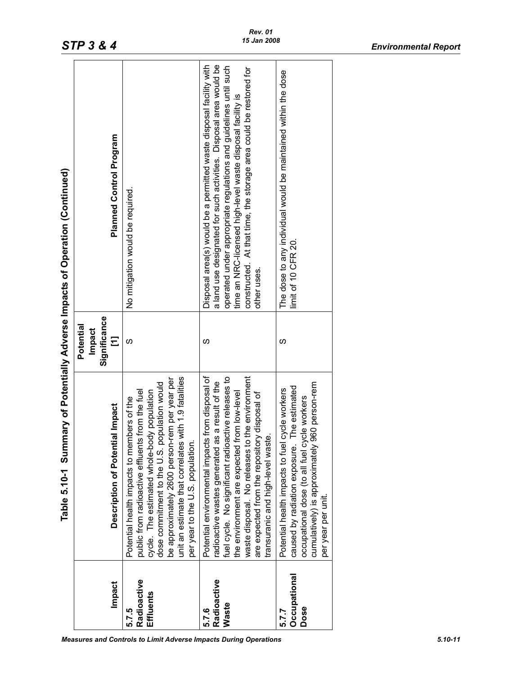|                                   |                                                                                                                                                                                                                                                                                                                                                   | Potential<br><b>Impact</b> |                                                                                                                                                                                                                                                                                                                                                               |
|-----------------------------------|---------------------------------------------------------------------------------------------------------------------------------------------------------------------------------------------------------------------------------------------------------------------------------------------------------------------------------------------------|----------------------------|---------------------------------------------------------------------------------------------------------------------------------------------------------------------------------------------------------------------------------------------------------------------------------------------------------------------------------------------------------------|
| Impact                            | Description of Potential Impact                                                                                                                                                                                                                                                                                                                   | Significance<br>Ξ          | <b>Planned Control Program</b>                                                                                                                                                                                                                                                                                                                                |
| Radioactive<br>Effluents<br>5.7.5 | unit an estimate that correlates with 1.9 fatalities<br>be approximately 2600 person-rem per year per<br>dose commitment to the U.S. population would<br>public from radioactive effluents from the fuel<br>cycle. The estimated whole-body population<br>Potential health impacts to members of the<br>per year to the U.S. population.          | ഗ                          | No mitigation would be required.                                                                                                                                                                                                                                                                                                                              |
| Radioactive<br>Waste<br>5.7.6     | Potential environmental impacts from disposal of<br>the environment<br>fuel cycle. No significant radioactive releases to<br>radioactive wastes generated as a result of the<br>the environment are expected from low-level<br>are expected from the repository disposal of<br>transuranic and high-level waste<br>waste disposal. No releases to | ഗ                          | a land use designated for such activities. Disposal area would be<br>Disposal area(s) would be a permitted waste disposal facility with<br>operated under appropriate regulations and guidelines until such<br>constructed. At that time, the storage area could be restored for<br>time an NRC-licensed high-level waste disposal facility is<br>other uses. |
| Occupational<br>Dose<br>5.7.7     | cumulatively) is approximately 960 person-rem<br>The estimated<br>cycle workers<br>occupational dose (to all fuel cycle workers<br>Potential health impacts to fuel<br>caused by radiation exposure.<br>per year per unit.                                                                                                                        | ഗ                          | The dose to any individual would be maintained within the dose<br>limit of 10 CFR 20.                                                                                                                                                                                                                                                                         |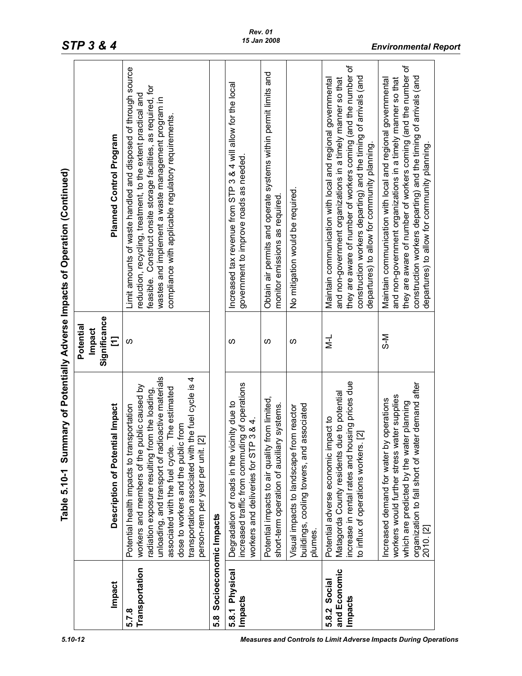*STP 3 & 4 Environmental Report*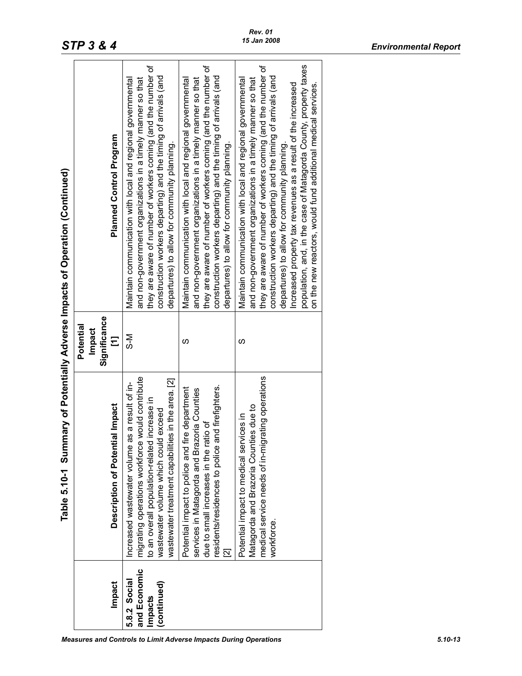|                                                        | Table 5.10-1 Summary of Potentially Adverse Impacts of Operation (Continued)                                                                                                                                                                           |                                          |                                                                                                                                                                                                                                                                                                                                                                                                                                                                                                                    |
|--------------------------------------------------------|--------------------------------------------------------------------------------------------------------------------------------------------------------------------------------------------------------------------------------------------------------|------------------------------------------|--------------------------------------------------------------------------------------------------------------------------------------------------------------------------------------------------------------------------------------------------------------------------------------------------------------------------------------------------------------------------------------------------------------------------------------------------------------------------------------------------------------------|
| Impact                                                 | Description of Potential Impact                                                                                                                                                                                                                        | Significance<br>Potential<br>Impact<br>Ξ | Planned Control Program                                                                                                                                                                                                                                                                                                                                                                                                                                                                                            |
| and Economic<br>5.8.2 Social<br>(continued)<br>Impacts | e would contribute<br>wastewater treatment capabilities in the area. [2]<br>as a result of in-<br>to an overall population-related increase in<br>wastewater volume which could exceed<br>Increased wastewater volume<br>migrating operations workforc | N−S                                      | they are aware of number of workers coming (and the number of<br>construction workers departing) and the timing of arrivals (and<br>and non-government organizations in a timely manner so that<br>Maintain communication with local and regional governmental<br>departures) to allow for community planning.                                                                                                                                                                                                     |
|                                                        | and firefighters.<br>Potential impact to police and fire department<br>services in Matagorda and Brazoria Counties<br>ratio of<br>due to small increases in the I<br>residents/residences to police<br>21                                              | ഗ                                        | they are aware of number of workers coming (and the number of<br>construction workers departing) and the timing of arrivals (and<br>and non-government organizations in a timely manner so that<br>Maintain communication with local and regional governmental<br>departures) to allow for community planning.                                                                                                                                                                                                     |
|                                                        | medical service needs of in-migrating operations<br>Matagorda and Brazoria Counties due to<br>Potential impact to medical services in<br>workforce.                                                                                                    | ഗ                                        | population, and, in the case of Matagorda County, property taxes<br>they are aware of number of workers coming (and the number of<br>construction workers departing) and the timing of arrivals (and<br>and non-government organizations in a timely manner so that<br>Maintain communication with local and regional governmental<br>on the new reactors, would fund additional medical services.<br>increased property tax revenues as a result of the increased<br>departures) to allow for community planning. |
|                                                        |                                                                                                                                                                                                                                                        |                                          |                                                                                                                                                                                                                                                                                                                                                                                                                                                                                                                    |

 $\overline{\phantom{a}}$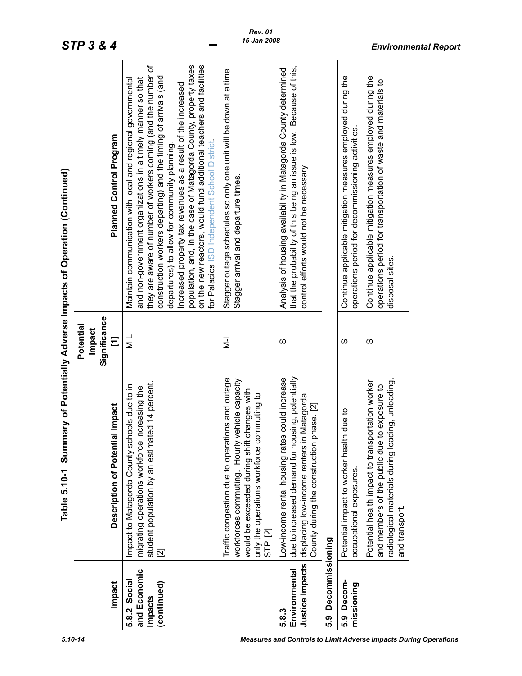|                                                        | Table 5.10-1 Summary of Potentially Adverse Impacts of Operation (Continued)                                                                                                                                     |                                                 |                                                                                                                                                                                                                                                                                                                                                                                                                                                                                                                                                                          |
|--------------------------------------------------------|------------------------------------------------------------------------------------------------------------------------------------------------------------------------------------------------------------------|-------------------------------------------------|--------------------------------------------------------------------------------------------------------------------------------------------------------------------------------------------------------------------------------------------------------------------------------------------------------------------------------------------------------------------------------------------------------------------------------------------------------------------------------------------------------------------------------------------------------------------------|
| Impact                                                 | al Impact<br>Description of Potenti                                                                                                                                                                              | Significance<br>Potential<br><b>Impact</b><br>Ξ | Planned Control Program                                                                                                                                                                                                                                                                                                                                                                                                                                                                                                                                                  |
| and Economic<br>5.8.2 Social<br>(continued)<br>Impacts | Impact to Matagorda County schools due to in-<br>student population by an estimated 14 percent.<br>migrating operations workforce increasing the<br>$\overline{\mathbf{z}}$                                      | $\vec{v}$                                       | on the new reactors, would fund additional teachers and facilities<br>they are aware of number of workers coming (and the number of<br>population, and, in the case of Matagorda County, property taxes<br>construction workers departing) and the timing of arrivals (and<br>Maintain communication with local and regional governmental<br>and non-government organizations in a timely manner so that<br>Increased property tax revenues as a result of the increased<br>for Palacios ISB Independent School District<br>departures) to allow for community planning. |
|                                                        | Traffic congestion due to operations and outage<br>workforces commuting. Hourly vehicle capacity<br>would be exceeded during shift changes with<br>only the operations workforce commuting to<br><b>STP.</b> [2] | $\frac{1}{2}$                                   | Stagger outage schedules so only one unit will be down at a time.<br>Stagger arrival and departure times.                                                                                                                                                                                                                                                                                                                                                                                                                                                                |
| Justice Impacts<br>Environmental<br>5.8.3              | due to increased demand for housing, potentially<br>Low-income rental housing rates could increase<br>in Matagorda<br>County during the construction phase. [2]<br>displacing low-income renters                 | S                                               | that the probability of this being an issue is low. Because of this,<br>Analysis of housing availability in Matagorda County determined<br>control efforts would not be necessary.                                                                                                                                                                                                                                                                                                                                                                                       |
| Decommissioning<br>စို                                 |                                                                                                                                                                                                                  |                                                 |                                                                                                                                                                                                                                                                                                                                                                                                                                                                                                                                                                          |
| Decom-<br>missioning<br>ဝ<br>၁                         | Potential impact to worker health due to<br>occupational exposures.                                                                                                                                              | S                                               | Continue applicable mitigation measures employed during the<br>operations period for decommissioning activities.                                                                                                                                                                                                                                                                                                                                                                                                                                                         |
|                                                        | radiological materials during loading, unloading,<br>Potential health impact to transportation worker<br>and members of the public due to exposure to<br>and transport.                                          | S                                               | Continue applicable mitigation measures employed during the<br>operations period for transportation of waste and materials to<br>disposal sites.                                                                                                                                                                                                                                                                                                                                                                                                                         |
|                                                        |                                                                                                                                                                                                                  |                                                 |                                                                                                                                                                                                                                                                                                                                                                                                                                                                                                                                                                          |